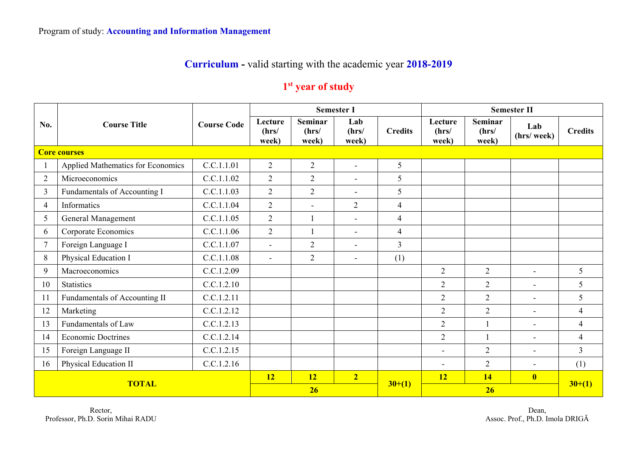## **Curriculum -** valid starting with the academic year **2018-2019**

## **1st year of study**

|                     | <b>Course Title</b>               |                    |                           |                                  | <b>Semester I</b>        |                          | <b>Semester II</b>        |                                  |                          |                 |  |
|---------------------|-----------------------------------|--------------------|---------------------------|----------------------------------|--------------------------|--------------------------|---------------------------|----------------------------------|--------------------------|-----------------|--|
| No.                 |                                   | <b>Course Code</b> | Lecture<br>(hrs/<br>week) | <b>Seminar</b><br>(hrs/<br>week) | Lab<br>(hrs/<br>week)    | <b>Credits</b>           | Lecture<br>(hrs/<br>week) | <b>Seminar</b><br>(hrs/<br>week) | Lab<br>(hrs/ week)       | <b>Credits</b>  |  |
| <b>Core courses</b> |                                   |                    |                           |                                  |                          |                          |                           |                                  |                          |                 |  |
|                     | Applied Mathematics for Economics | C.C.1.1.01         | $\overline{2}$            | $\overline{2}$                   | $\overline{a}$           | 5                        |                           |                                  |                          |                 |  |
| $\overline{2}$      | Microeconomics                    | C.C.1.1.02         | $\overline{2}$            | $\overline{2}$                   | $\overline{\phantom{0}}$ | 5                        |                           |                                  |                          |                 |  |
| $\overline{3}$      | Fundamentals of Accounting I      | C.C.1.1.03         | $\overline{2}$            | $\overline{2}$                   | $\sim$                   | 5                        |                           |                                  |                          |                 |  |
| $\overline{4}$      | Informatics                       | C.C.1.1.04         | $\overline{2}$            | $\overline{\phantom{a}}$         | $\overline{2}$           | $\overline{\mathbf{4}}$  |                           |                                  |                          |                 |  |
| 5                   | General Management                | C.C.1.1.05         | $\overline{2}$            |                                  | $\blacksquare$           | $\overline{\mathbf{4}}$  |                           |                                  |                          |                 |  |
| 6                   | Corporate Economics               | C.C.1.1.06         | $\overline{2}$            |                                  | $\blacksquare$           | $\overline{\mathcal{L}}$ |                           |                                  |                          |                 |  |
| $\tau$              | Foreign Language I                | C.C.1.1.07         | $\overline{a}$            | $\overline{2}$                   | $\blacksquare$           | $\overline{3}$           |                           |                                  |                          |                 |  |
| 8                   | Physical Education I              | C.C.1.1.08         | $\blacksquare$            | 2                                | $\blacksquare$           | (1)                      |                           |                                  |                          |                 |  |
| 9                   | Macroeconomics                    | C.C.1.2.09         |                           |                                  |                          |                          | $\overline{2}$            | $\overline{2}$                   | $\overline{\phantom{0}}$ | 5               |  |
| 10                  | <b>Statistics</b>                 | C.C.1.2.10         |                           |                                  |                          |                          | $\overline{2}$            | $\overline{2}$                   | $\blacksquare$           | $5\overline{)}$ |  |
| 11                  | Fundamentals of Accounting II     | C.C.1.2.11         |                           |                                  |                          |                          | $\overline{2}$            | $\overline{2}$                   | $\overline{\phantom{0}}$ | 5               |  |
| 12                  | Marketing                         | C.C.1.2.12         |                           |                                  |                          |                          | $\overline{2}$            | $\overline{2}$                   |                          | $\overline{4}$  |  |
| 13                  | Fundamentals of Law               | C.C.1.2.13         |                           |                                  |                          |                          | $\overline{2}$            |                                  | $\blacksquare$           | $\overline{4}$  |  |
| 14                  | <b>Economic Doctrines</b>         | C.C.1.2.14         |                           |                                  |                          |                          | $\overline{2}$            |                                  | $\blacksquare$           | $\overline{4}$  |  |
| 15                  | Foreign Language II               | C.C.1.2.15         |                           |                                  |                          |                          |                           | $\overline{2}$                   |                          | $\overline{3}$  |  |
| 16                  | Physical Education II             | C.C.1.2.16         |                           |                                  |                          |                          | $\overline{\phantom{a}}$  | $\overline{2}$                   | $\blacksquare$           | (1)             |  |
| <b>TOTAL</b>        |                                   |                    | 12                        | 12                               | $\overline{2}$           |                          | 12                        | 14                               | $\overline{\mathbf{0}}$  |                 |  |
|                     |                                   |                    | 26                        |                                  |                          | $30+(1)$                 |                           | $30+(1)$                         |                          |                 |  |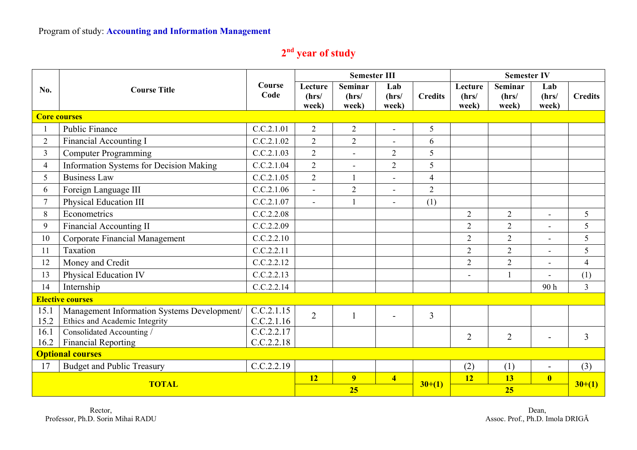## **2nd year of study**

|                         |                                             |                |                           | <b>Semester III</b>              |                         |                | <b>Semester IV</b>        |                           |                          |                |
|-------------------------|---------------------------------------------|----------------|---------------------------|----------------------------------|-------------------------|----------------|---------------------------|---------------------------|--------------------------|----------------|
| No.                     | <b>Course Title</b>                         | Course<br>Code | Lecture<br>(hrs/<br>week) | <b>Seminar</b><br>(hrs/<br>week) | Lab<br>(hrs/<br>week)   | <b>Credits</b> | Lecture<br>(hrs/<br>week) | Seminar<br>(hrs/<br>week) | Lab<br>(hrs/<br>week)    | <b>Credits</b> |
|                         | <b>Core courses</b>                         |                |                           |                                  |                         |                |                           |                           |                          |                |
|                         | <b>Public Finance</b>                       | C.C.2.1.01     | 2                         | 2                                | $\overline{a}$          | 5              |                           |                           |                          |                |
| $\overline{2}$          | <b>Financial Accounting I</b>               | C.C.2.1.02     | $\overline{2}$            | $\overline{2}$                   | $\blacksquare$          | 6              |                           |                           |                          |                |
| $\mathfrak{Z}$          | <b>Computer Programming</b>                 | C.C.2.1.03     | $\overline{2}$            | $\blacksquare$                   | $\overline{2}$          | 5              |                           |                           |                          |                |
| $\overline{4}$          | Information Systems for Decision Making     | C.C.2.1.04     | $\overline{2}$            | $\blacksquare$                   | $\overline{2}$          | 5              |                           |                           |                          |                |
| 5                       | <b>Business Law</b>                         | C.C.2.1.05     | $\overline{2}$            |                                  |                         | $\overline{4}$ |                           |                           |                          |                |
| 6                       | Foreign Language III                        | C.C.2.1.06     | $\blacksquare$            | $\overline{2}$                   |                         | $\overline{2}$ |                           |                           |                          |                |
| $7\overline{ }$         | Physical Education III                      | C.C.2.1.07     | $\blacksquare$            | $\mathbf{1}$                     | $\blacksquare$          | (1)            |                           |                           |                          |                |
| 8                       | Econometrics                                | C.C.2.2.08     |                           |                                  |                         |                | $\overline{2}$            | $\overline{2}$            | $\overline{a}$           | 5              |
| 9                       | <b>Financial Accounting II</b>              | C.C.2.2.09     |                           |                                  |                         |                | $\overline{2}$            | $\overline{2}$            | $\blacksquare$           | 5              |
| 10                      | Corporate Financial Management              | C.C.2.2.10     |                           |                                  |                         |                | $\overline{2}$            | $\overline{2}$            |                          | 5              |
| 11                      | Taxation                                    | C.C.2.2.11     |                           |                                  |                         |                | $\overline{2}$            | $\overline{2}$            |                          | 5              |
| 12                      | Money and Credit                            | C.C.2.2.12     |                           |                                  |                         |                | $\overline{2}$            | $\overline{2}$            | $\blacksquare$           | $\overline{4}$ |
| 13                      | Physical Education IV                       | C.C.2.2.13     |                           |                                  |                         |                | $\overline{a}$            |                           |                          | (1)            |
| 14                      | Internship                                  | C.C.2.2.14     |                           |                                  |                         |                |                           |                           | 90h                      | $\overline{3}$ |
| <b>Elective courses</b> |                                             |                |                           |                                  |                         |                |                           |                           |                          |                |
| 15.1                    | Management Information Systems Development/ | C.C.2.1.15     | $\overline{2}$            |                                  |                         | 3              |                           |                           |                          |                |
| 15.2                    | Ethics and Academic Integrity               | C.C.2.1.16     |                           |                                  |                         |                |                           |                           |                          |                |
| 16.1                    | Consolidated Accounting /                   | C.C.2.2.17     |                           |                                  |                         |                | $\overline{2}$            | $\overline{2}$            |                          | $\overline{3}$ |
| 16.2                    | <b>Financial Reporting</b>                  | C.C.2.2.18     |                           |                                  |                         |                |                           |                           |                          |                |
| <b>Optional courses</b> |                                             |                |                           |                                  |                         |                |                           |                           |                          |                |
| 17                      | <b>Budget and Public Treasury</b>           | C.C.2.2.19     |                           |                                  |                         |                | (2)                       | (1)                       | $\overline{\phantom{a}}$ | (3)            |
| <b>TOTAL</b>            |                                             |                | 12                        | 9                                | $\overline{\mathbf{4}}$ | $30+(1)$       | <b>12</b>                 | 13                        | $\overline{\mathbf{0}}$  |                |
|                         |                                             |                | 25                        |                                  |                         |                | 25                        |                           |                          | $30+(1)$       |